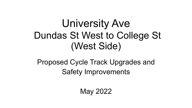# University Ave Dundas St West to College St (West Side)

Proposed Cycle Track Upgrades and Safety Improvements

May 2022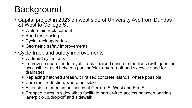# **Background**

- Capital project in 2023 on west side of University Ave from Dundas St West to College St
	- Watermain replacement
	- Road resurfacing
	- Cycle track upgrades
	- Geometric safety improvements
- Cycle track and safety improvements
	- Widened cycle track
	- Improved separation for cycle track raised concrete medians (with gaps for accessible travel between parking/pick-up/drop-off and sidewalk; and for drainage)
	- Replacing hatched areas with raised concrete islands, where possible
	- Curb radii reduction, where possible
	- Extension of median bullnoses at Gerrard St West and Elm St
	- Dropped curbs in sidewalk to facilitate barrier-free access between parking lane/pick-up/drop-off and sidewalk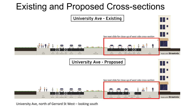## Existing and Proposed Cross-sections



University Ave, north of Gerrard St West – looking south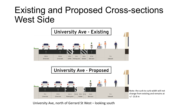### Existing and Proposed Cross-sections West Side





University Ave, north of Gerrard St West – looking south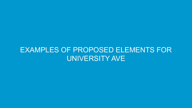#### EXAMPLES OF PROPOSED ELEMENTS FOR UNIVERSITY AVE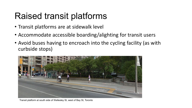# Raised transit platforms

- Transit platforms are at sidewalk level
- Accommodate accessible boarding/alighting for transit users
- Avoid buses having to encroach into the cycling facility (as with curbside stops)



Transit platform at south side of Wellesley St, west of Bay St, Toronto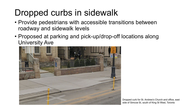# Dropped curbs in sidewalk

- Provide pedestrians with accessible transitions between roadway and sidewalk levels
- Proposed at parking and pick-up/drop-off locations along University Ave



Dropped curb for St. Andrew's Church and office, east side of Simcoe St, south of King St West, Toronto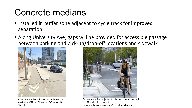### Concrete medians

- Installed in buffer zone adjacent to cycle track for improved separation
- Along University Ave, gaps will be provided for accessible passage between parking and pick-up/drop-off locations and sidewalk



Concrete median adjacent to cycle track on east side of River St, south of Cornwall St, Toronto



Concrete median adjacent to bi-directional cycle track; Rio Grande Street, Austin (www.austintexas.gov/page/protected-bike-lanes)